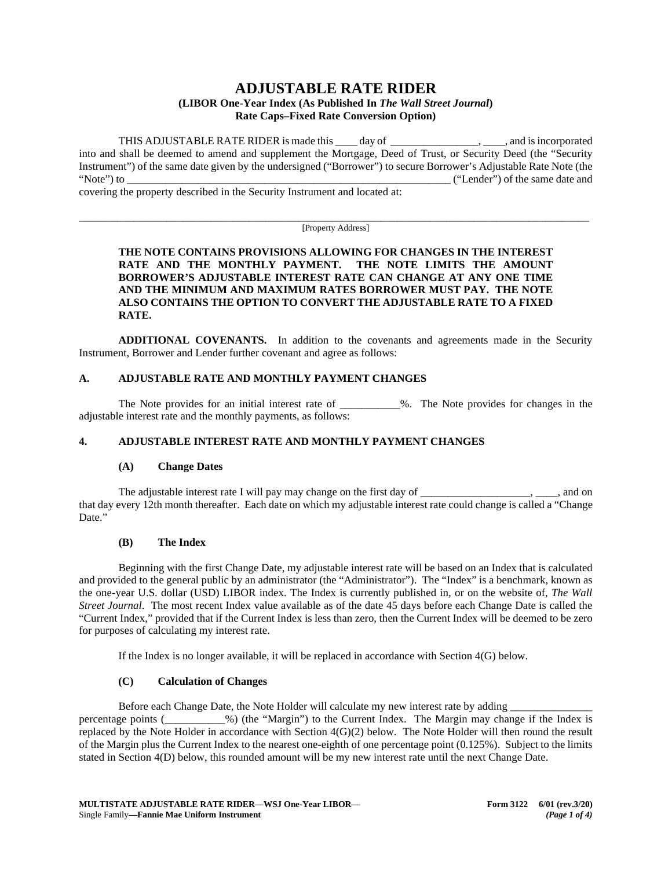# **ADJUSTABLE RATE RIDER**

#### **(LIBOR One-Year Index (As Published In** *The Wall Street Journal***) Rate Caps–Fixed Rate Conversion Option)**

THIS ADJUSTABLE RATE RIDER is made this day of the set of the set of the set of the set of the set of the set of the set of the set of the set of the set of the set of the set of the set of the set of the set of the set of into and shall be deemed to amend and supplement the Mortgage, Deed of Trust, or Security Deed (the "Security Instrument") of the same date given by the undersigned ("Borrower") to secure Borrower's Adjustable Rate Note (the "Note") to  $($ "Lender") of the same date and

covering the property described in the Security Instrument and located at:

\_\_\_\_\_\_\_\_\_\_\_\_\_\_\_\_\_\_\_\_\_\_\_\_\_\_\_\_\_\_\_\_\_\_\_\_\_\_\_\_\_\_\_\_\_\_\_\_\_\_\_\_\_\_\_\_\_\_\_\_\_\_\_\_\_\_\_\_\_\_\_\_\_\_\_\_\_\_\_\_\_\_\_\_\_\_\_\_\_\_\_\_\_ [Property Address]

#### **THE NOTE CONTAINS PROVISIONS ALLOWING FOR CHANGES IN THE INTEREST RATE AND THE MONTHLY PAYMENT. THE NOTE LIMITS THE AMOUNT BORROWER'S ADJUSTABLE INTEREST RATE CAN CHANGE AT ANY ONE TIME AND THE MINIMUM AND MAXIMUM RATES BORROWER MUST PAY. THE NOTE ALSO CONTAINS THE OPTION TO CONVERT THE ADJUSTABLE RATE TO A FIXED RATE.**

**ADDITIONAL COVENANTS.** In addition to the covenants and agreements made in the Security Instrument, Borrower and Lender further covenant and agree as follows:

#### **A. ADJUSTABLE RATE AND MONTHLY PAYMENT CHANGES**

The Note provides for an initial interest rate of \_\_\_\_\_\_\_\_\_\_\_%. The Note provides for changes in the adjustable interest rate and the monthly payments, as follows:

## **4. ADJUSTABLE INTEREST RATE AND MONTHLY PAYMENT CHANGES**

#### **(A) Change Dates**

The adjustable interest rate I will pay may change on the first day of \_\_\_\_\_\_\_\_\_\_\_\_\_\_\_\_\_\_\_, \_\_\_\_, and on that day every 12th month thereafter. Each date on which my adjustable interest rate could change is called a "Change Date."

#### **(B) The Index**

Beginning with the first Change Date, my adjustable interest rate will be based on an Index that is calculated and provided to the general public by an administrator (the "Administrator"). The "Index" is a benchmark, known as the one-year U.S. dollar (USD) LIBOR index. The Index is currently published in, or on the website of, *The Wall Street Journal*. The most recent Index value available as of the date 45 days before each Change Date is called the "Current Index," provided that if the Current Index is less than zero, then the Current Index will be deemed to be zero for purposes of calculating my interest rate.

If the Index is no longer available, it will be replaced in accordance with Section 4(G) below.

## **(C) Calculation of Changes**

Before each Change Date, the Note Holder will calculate my new interest rate by adding percentage points (\_\_\_\_\_\_\_\_\_\_\_%) (the "Margin") to the Current Index. The Margin may change if the Index is replaced by the Note Holder in accordance with Section 4(G)(2) below. The Note Holder will then round the result of the Margin plus the Current Index to the nearest one-eighth of one percentage point  $(0.125\%)$ . Subject to the limits stated in Section 4(D) below, this rounded amount will be my new interest rate until the next Change Date.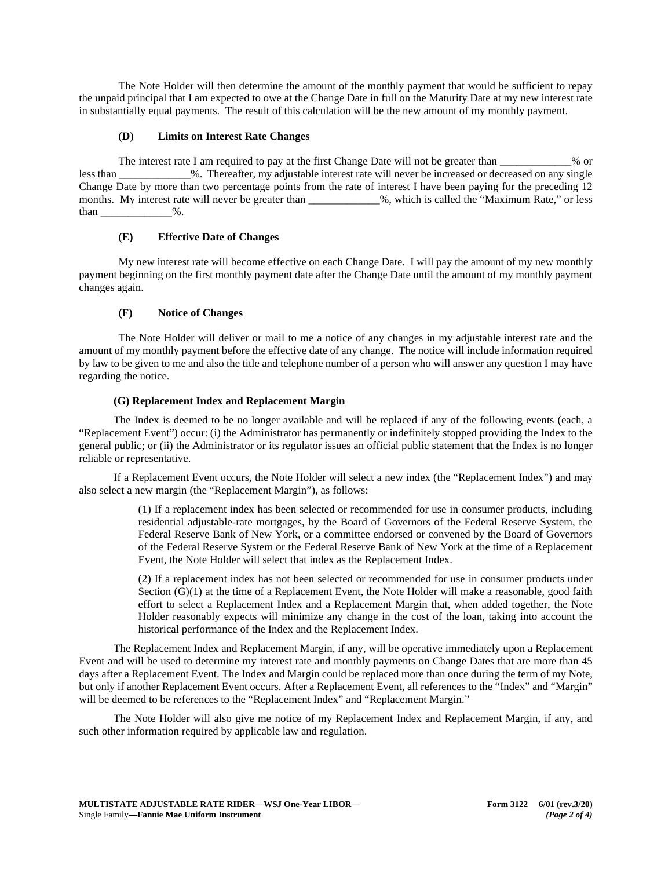The Note Holder will then determine the amount of the monthly payment that would be sufficient to repay the unpaid principal that I am expected to owe at the Change Date in full on the Maturity Date at my new interest rate in substantially equal payments. The result of this calculation will be the new amount of my monthly payment.

#### **(D) Limits on Interest Rate Changes**

The interest rate I am required to pay at the first Change Date will not be greater than \_\_\_\_\_\_\_\_\_\_\_\_\_% or less than  $\%$ . Thereafter, my adjustable interest rate will never be increased or decreased on any single Change Date by more than two percentage points from the rate of interest I have been paying for the preceding 12 months. My interest rate will never be greater than \_\_\_\_\_\_\_\_\_\_\_\_%, which is called the "Maximum Rate," or less than  $\%$ .

#### **(E) Effective Date of Changes**

My new interest rate will become effective on each Change Date. I will pay the amount of my new monthly payment beginning on the first monthly payment date after the Change Date until the amount of my monthly payment changes again.

## **(F) Notice of Changes**

The Note Holder will deliver or mail to me a notice of any changes in my adjustable interest rate and the amount of my monthly payment before the effective date of any change. The notice will include information required by law to be given to me and also the title and telephone number of a person who will answer any question I may have regarding the notice.

## **(G) Replacement Index and Replacement Margin**

The Index is deemed to be no longer available and will be replaced if any of the following events (each, a "Replacement Event") occur: (i) the Administrator has permanently or indefinitely stopped providing the Index to the general public; or (ii) the Administrator or its regulator issues an official public statement that the Index is no longer reliable or representative.

If a Replacement Event occurs, the Note Holder will select a new index (the "Replacement Index") and may also select a new margin (the "Replacement Margin"), as follows:

> (1) If a replacement index has been selected or recommended for use in consumer products, including residential adjustable-rate mortgages, by the Board of Governors of the Federal Reserve System, the Federal Reserve Bank of New York, or a committee endorsed or convened by the Board of Governors of the Federal Reserve System or the Federal Reserve Bank of New York at the time of a Replacement Event, the Note Holder will select that index as the Replacement Index.

> (2) If a replacement index has not been selected or recommended for use in consumer products under Section (G)(1) at the time of a Replacement Event, the Note Holder will make a reasonable, good faith effort to select a Replacement Index and a Replacement Margin that, when added together, the Note Holder reasonably expects will minimize any change in the cost of the loan, taking into account the historical performance of the Index and the Replacement Index.

The Replacement Index and Replacement Margin, if any, will be operative immediately upon a Replacement Event and will be used to determine my interest rate and monthly payments on Change Dates that are more than 45 days after a Replacement Event. The Index and Margin could be replaced more than once during the term of my Note, but only if another Replacement Event occurs. After a Replacement Event, all references to the "Index" and "Margin" will be deemed to be references to the "Replacement Index" and "Replacement Margin."

The Note Holder will also give me notice of my Replacement Index and Replacement Margin, if any, and such other information required by applicable law and regulation.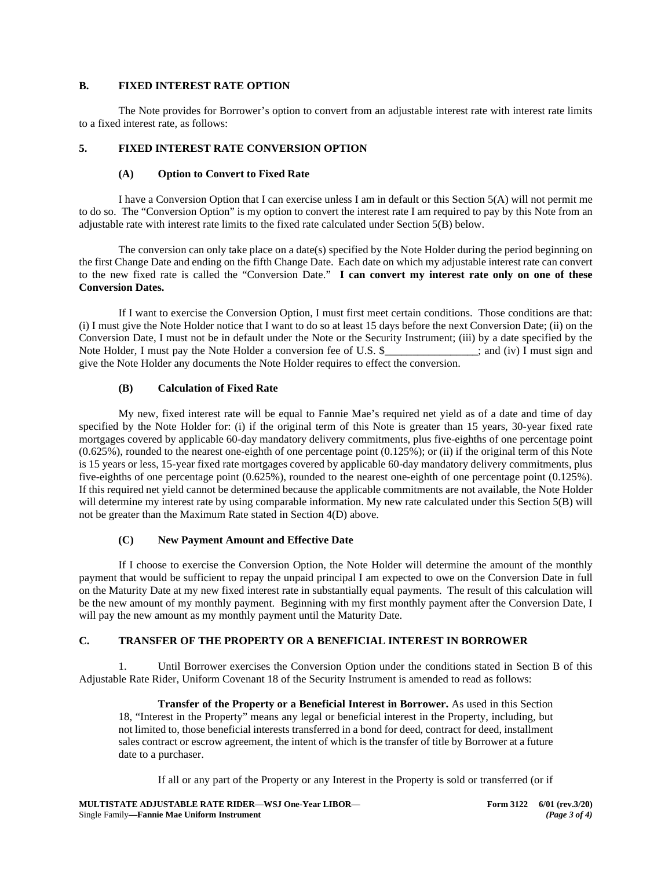#### **B. FIXED INTEREST RATE OPTION**

The Note provides for Borrower's option to convert from an adjustable interest rate with interest rate limits to a fixed interest rate, as follows:

#### **5. FIXED INTEREST RATE CONVERSION OPTION**

#### **(A) Option to Convert to Fixed Rate**

I have a Conversion Option that I can exercise unless I am in default or this Section 5(A) will not permit me to do so. The "Conversion Option" is my option to convert the interest rate I am required to pay by this Note from an adjustable rate with interest rate limits to the fixed rate calculated under Section 5(B) below.

The conversion can only take place on a date(s) specified by the Note Holder during the period beginning on the first Change Date and ending on the fifth Change Date. Each date on which my adjustable interest rate can convert to the new fixed rate is called the "Conversion Date." **I can convert my interest rate only on one of these Conversion Dates.**

If I want to exercise the Conversion Option, I must first meet certain conditions. Those conditions are that: (i) I must give the Note Holder notice that I want to do so at least 15 days before the next Conversion Date; (ii) on the Conversion Date, I must not be in default under the Note or the Security Instrument; (iii) by a date specified by the Note Holder, I must pay the Note Holder a conversion fee of U.S. \$\_\_\_\_\_\_\_\_\_\_\_\_\_; and (iv) I must sign and give the Note Holder any documents the Note Holder requires to effect the conversion.

#### **(B) Calculation of Fixed Rate**

My new, fixed interest rate will be equal to Fannie Mae's required net yield as of a date and time of day specified by the Note Holder for: (i) if the original term of this Note is greater than 15 years, 30-year fixed rate mortgages covered by applicable 60-day mandatory delivery commitments, plus five-eighths of one percentage point  $(0.625\%)$ , rounded to the nearest one-eighth of one percentage point  $(0.125\%)$ ; or (ii) if the original term of this Note is 15 years or less, 15-year fixed rate mortgages covered by applicable 60-day mandatory delivery commitments, plus five-eighths of one percentage point (0.625%), rounded to the nearest one-eighth of one percentage point (0.125%). If this required net yield cannot be determined because the applicable commitments are not available, the Note Holder will determine my interest rate by using comparable information. My new rate calculated under this Section 5(B) will not be greater than the Maximum Rate stated in Section 4(D) above.

#### **(C) New Payment Amount and Effective Date**

If I choose to exercise the Conversion Option, the Note Holder will determine the amount of the monthly payment that would be sufficient to repay the unpaid principal I am expected to owe on the Conversion Date in full on the Maturity Date at my new fixed interest rate in substantially equal payments. The result of this calculation will be the new amount of my monthly payment. Beginning with my first monthly payment after the Conversion Date, I will pay the new amount as my monthly payment until the Maturity Date.

#### **C. TRANSFER OF THE PROPERTY OR A BENEFICIAL INTEREST IN BORROWER**

1. Until Borrower exercises the Conversion Option under the conditions stated in Section B of this Adjustable Rate Rider, Uniform Covenant 18 of the Security Instrument is amended to read as follows:

**Transfer of the Property or a Beneficial Interest in Borrower.** As used in this Section 18, "Interest in the Property" means any legal or beneficial interest in the Property, including, but not limited to, those beneficial interests transferred in a bond for deed, contract for deed, installment sales contract or escrow agreement, the intent of which is the transfer of title by Borrower at a future date to a purchaser.

If all or any part of the Property or any Interest in the Property is sold or transferred (or if